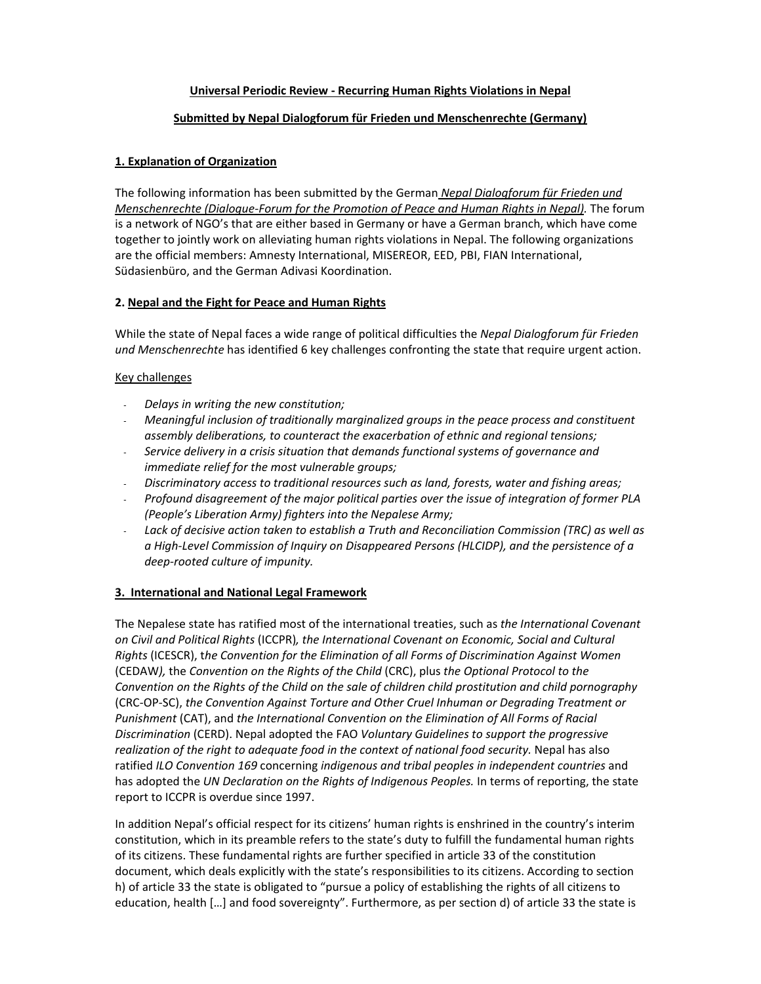## **Universal Periodic Review ‐ Recurring Human Rights Violations in Nepal**

## **Submitted by Nepal Dialogforum für Frieden und Menschenrechte (Germany)**

# **1. Explanation of Organization**

The following information has been submitted by the German *Nepal Dialogforum für Frieden und Menschenrechte (Dialogue‐Forum for the Promotion of Peace and Human Rights in Nepal).* The forum is a network of NGO's that are either based in Germany or have a German branch, which have come together to jointly work on alleviating human rights violations in Nepal. The following organizations are the official members: Amnesty International, MISEREOR, EED, PBI, FIAN International, Südasienbüro, and the German Adivasi Koordination.

## **2. Nepal and the Fight for Peace and Human Rights**

While the state of Nepal faces a wide range of political difficulties the *Nepal Dialogforum für Frieden und Menschenrechte* has identified 6 key challenges confronting the state that require urgent action.

# Key challenges

- ‐ *Delays in writing the new constitution;*
- ‐ *Meaningful inclusion of traditionally marginalized groups in the peace process and constituent assembly deliberations, to counteract the exacerbation of ethnic and regional tensions;*
- ‐ *Service delivery in a crisis situation that demands functional systems of governance and immediate relief for the most vulnerable groups;*
- ‐ *Discriminatory access to traditional resources such as land, forests, water and fishing areas;*
- ‐ *Profound disagreement of the major political parties over the issue of integration of former PLA (People's Liberation Army) fighters into the Nepalese Army;*
- ‐ *Lack of decisive action taken to establish a Truth and Reconciliation Commission (TRC) as well as a High‐Level Commission of Inquiry on Disappeared Persons (HLCIDP), and the persistence of a deep‐rooted culture of impunity.*

## **3. International and National Legal Framework**

The Nepalese state has ratified most of the international treaties, such as *the International Covenant on Civil and Political Rights* (ICCPR)*, the International Covenant on Economic, Social and Cultural Rights* (ICESCR), t*he Convention for the Elimination of all Forms of Discrimination Against Women* (CEDAW*),* the *Convention on the Rights of the Child* (CRC), plus *the Optional Protocol to the Convention on the Rights of the Child on the sale of children child prostitution and child pornography* (CRC‐OP‐SC), *the Convention Against Torture and Other Cruel Inhuman or Degrading Treatment or Punishment* (CAT), and *the International Convention on the Elimination of All Forms of Racial Discrimination* (CERD). Nepal adopted the FAO *Voluntary Guidelines to support the progressive realization of the right to adequate food in the context of national food security.* Nepal has also ratified *ILO Convention 169* concerning *indigenous and tribal peoples in independent countries* and has adopted the *UN Declaration on the Rights of Indigenous Peoples.* In terms of reporting, the state report to ICCPR is overdue since 1997.

In addition Nepal's official respect for its citizens' human rights is enshrined in the country's interim constitution, which in its preamble refers to the state's duty to fulfill the fundamental human rights of its citizens. These fundamental rights are further specified in article 33 of the constitution document, which deals explicitly with the state's responsibilities to its citizens. According to section h) of article 33 the state is obligated to "pursue a policy of establishing the rights of all citizens to education, health […] and food sovereignty". Furthermore, as per section d) of article 33 the state is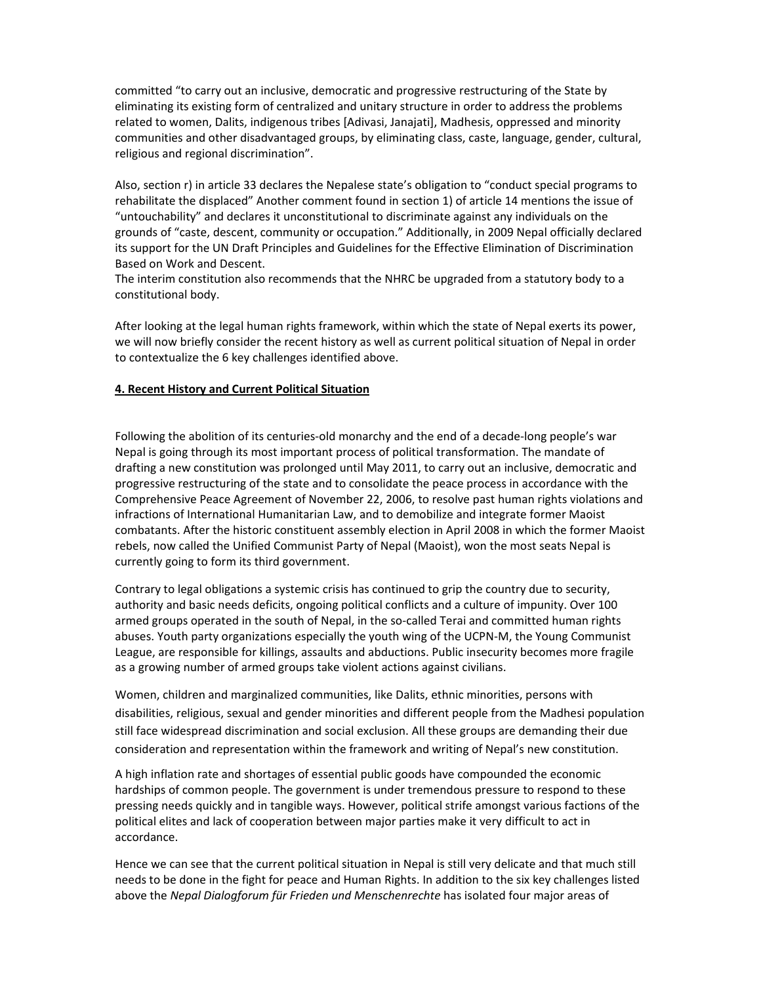committed "to carry out an inclusive, democratic and progressive restructuring of the State by eliminating its existing form of centralized and unitary structure in order to address the problems related to women, Dalits, indigenous tribes [Adivasi, Janajati], Madhesis, oppressed and minority communities and other disadvantaged groups, by eliminating class, caste, language, gender, cultural, religious and regional discrimination".

Also, section r) in article 33 declares the Nepalese state's obligation to "conduct special programs to rehabilitate the displaced" Another comment found in section 1) of article 14 mentions the issue of "untouchability" and declares it unconstitutional to discriminate against any individuals on the grounds of "caste, descent, community or occupation." Additionally, in 2009 Nepal officially declared its support for the UN Draft Principles and Guidelines for the Effective Elimination of Discrimination Based on Work and Descent.

The interim constitution also recommends that the NHRC be upgraded from a statutory body to a constitutional body.

After looking at the legal human rights framework, within which the state of Nepal exerts its power, we will now briefly consider the recent history as well as current political situation of Nepal in order to contextualize the 6 key challenges identified above.

## **4. Recent History and Current Political Situation**

Following the abolition of its centuries‐old monarchy and the end of a decade‐long people's war Nepal is going through its most important process of political transformation. The mandate of drafting a new constitution was prolonged until May 2011, to carry out an inclusive, democratic and progressive restructuring of the state and to consolidate the peace process in accordance with the Comprehensive Peace Agreement of November 22, 2006, to resolve past human rights violations and infractions of International Humanitarian Law, and to demobilize and integrate former Maoist combatants. After the historic constituent assembly election in April 2008 in which the former Maoist rebels, now called the Unified Communist Party of Nepal (Maoist), won the most seats Nepal is currently going to form its third government.

Contrary to legal obligations a systemic crisis has continued to grip the country due to security, authority and basic needs deficits, ongoing political conflicts and a culture of impunity. Over 100 armed groups operated in the south of Nepal, in the so-called Terai and committed human rights abuses. Youth party organizations especially the youth wing of the UCPN-M, the Young Communist League, are responsible for killings, assaults and abductions. Public insecurity becomes more fragile as a growing number of armed groups take violent actions against civilians.

Women, children and marginalized communities, like Dalits, ethnic minorities, persons with disabilities, religious, sexual and gender minorities and different people from the Madhesi population still face widespread discrimination and social exclusion. All these groups are demanding their due consideration and representation within the framework and writing of Nepal's new constitution.

A high inflation rate and shortages of essential public goods have compounded the economic hardships of common people. The government is under tremendous pressure to respond to these pressing needs quickly and in tangible ways. However, political strife amongst various factions of the political elites and lack of cooperation between major parties make it very difficult to act in accordance.

Hence we can see that the current political situation in Nepal is still very delicate and that much still needs to be done in the fight for peace and Human Rights. In addition to the six key challenges listed above the *Nepal Dialogforum für Frieden und Menschenrechte* has isolated four major areas of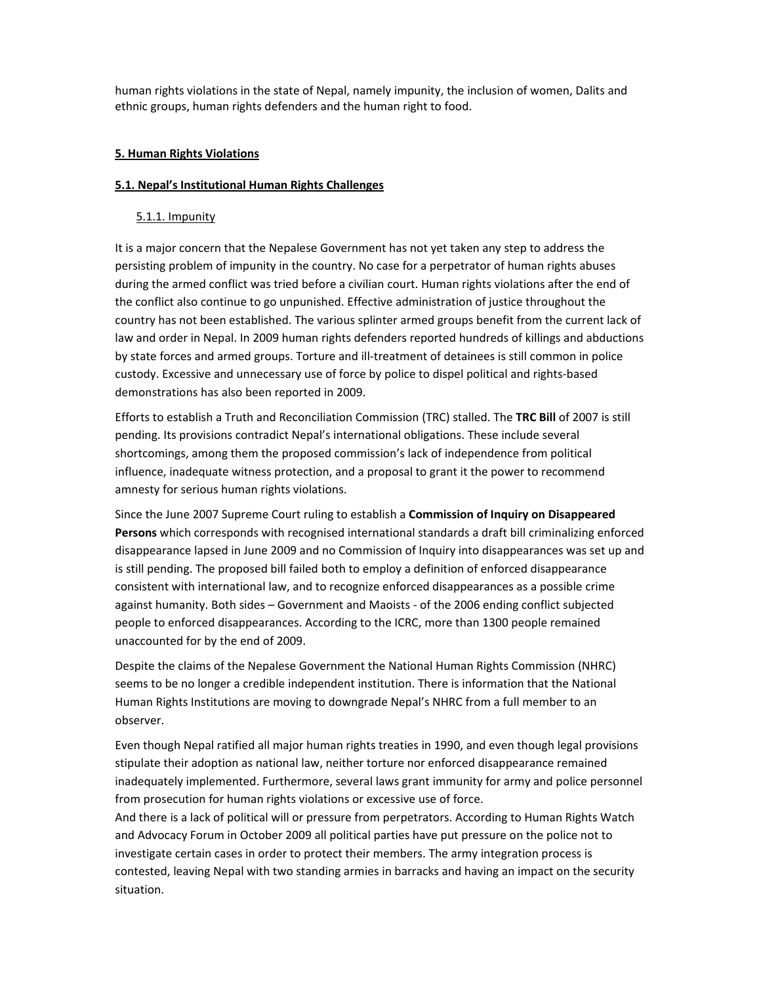human rights violations in the state of Nepal, namely impunity, the inclusion of women, Dalits and ethnic groups, human rights defenders and the human right to food.

## **5. Human Rights Violations**

## **5.1. Nepal's Institutional Human Rights Challenges**

# 5.1.1. Impunity

It is a major concern that the Nepalese Government has not yet taken any step to address the persisting problem of impunity in the country. No case for a perpetrator of human rights abuses during the armed conflict was tried before a civilian court. Human rights violations after the end of the conflict also continue to go unpunished. Effective administration of justice throughout the country has not been established. The various splinter armed groups benefit from the current lack of law and order in Nepal. In 2009 human rights defenders reported hundreds of killings and abductions by state forces and armed groups. Torture and ill-treatment of detainees is still common in police custody. Excessive and unnecessary use of force by police to dispel political and rights‐based demonstrations has also been reported in 2009.

Efforts to establish a Truth and Reconciliation Commission (TRC) stalled. The **TRC Bill** of 2007 is still pending. Its provisions contradict Nepal's international obligations. These include several shortcomings, among them the proposed commission's lack of independence from political influence, inadequate witness protection, and a proposal to grant it the power to recommend amnesty for serious human rights violations.

Since the June 2007 Supreme Court ruling to establish a **Commission of Inquiry on Disappeared Persons** which corresponds with recognised international standards a draft bill criminalizing enforced disappearance lapsed in June 2009 and no Commission of Inquiry into disappearances was set up and is still pending. The proposed bill failed both to employ a definition of enforced disappearance consistent with international law, and to recognize enforced disappearances as a possible crime against humanity. Both sides – Government and Maoists ‐ of the 2006 ending conflict subjected people to enforced disappearances. According to the ICRC, more than 1300 people remained unaccounted for by the end of 2009.

Despite the claims of the Nepalese Government the National Human Rights Commission (NHRC) seems to be no longer a credible independent institution. There is information that the National Human Rights Institutions are moving to downgrade Nepal's NHRC from a full member to an observer.

Even though Nepal ratified all major human rights treaties in 1990, and even though legal provisions stipulate their adoption as national law, neither torture nor enforced disappearance remained inadequately implemented. Furthermore, several laws grant immunity for army and police personnel from prosecution for human rights violations or excessive use of force.

And there is a lack of political will or pressure from perpetrators. According to Human Rights Watch and Advocacy Forum in October 2009 all political parties have put pressure on the police not to investigate certain cases in order to protect their members. The army integration process is contested, leaving Nepal with two standing armies in barracks and having an impact on the security situation.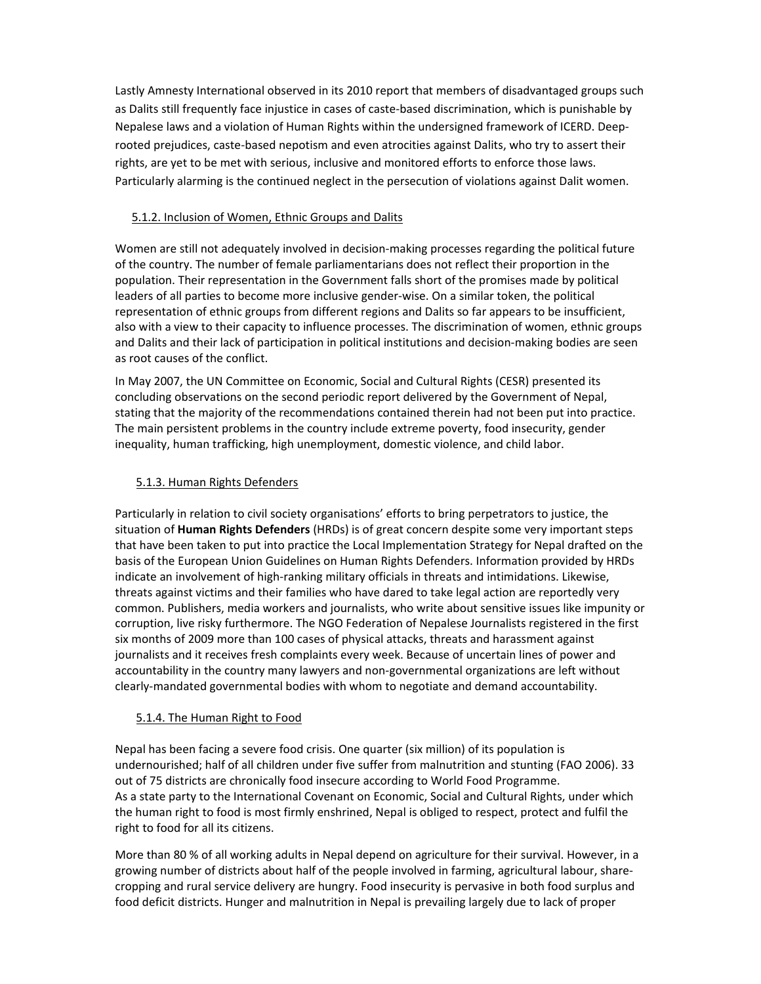Lastly Amnesty International observed in its 2010 report that members of disadvantaged groups such as Dalits still frequently face injustice in cases of caste‐based discrimination, which is punishable by Nepalese laws and a violation of Human Rights within the undersigned framework of ICERD. Deep‐ rooted prejudices, caste‐based nepotism and even atrocities against Dalits, who try to assert their rights, are yet to be met with serious, inclusive and monitored efforts to enforce those laws. Particularly alarming is the continued neglect in the persecution of violations against Dalit women.

# 5.1.2. Inclusion of Women, Ethnic Groups and Dalits

Women are still not adequately involved in decision-making processes regarding the political future of the country. The number of female parliamentarians does not reflect their proportion in the population. Their representation in the Government falls short of the promises made by political leaders of all parties to become more inclusive gender‐wise. On a similar token, the political representation of ethnic groups from different regions and Dalits so far appears to be insufficient, also with a view to their capacity to influence processes. The discrimination of women, ethnic groups and Dalits and their lack of participation in political institutions and decision-making bodies are seen as root causes of the conflict.

In May 2007, the UN Committee on Economic, Social and Cultural Rights (CESR) presented its concluding observations on the second periodic report delivered by the Government of Nepal, stating that the majority of the recommendations contained therein had not been put into practice. The main persistent problems in the country include extreme poverty, food insecurity, gender inequality, human trafficking, high unemployment, domestic violence, and child labor.

# 5.1.3. Human Rights Defenders

Particularly in relation to civil society organisations' efforts to bring perpetrators to justice, the situation of **Human Rights Defenders** (HRDs) is of great concern despite some very important steps that have been taken to put into practice the Local Implementation Strategy for Nepal drafted on the basis of the European Union Guidelines on Human Rights Defenders. Information provided by HRDs indicate an involvement of high‐ranking military officials in threats and intimidations. Likewise, threats against victims and their families who have dared to take legal action are reportedly very common. Publishers, media workers and journalists, who write about sensitive issues like impunity or corruption, live risky furthermore. The NGO Federation of Nepalese Journalists registered in the first six months of 2009 more than 100 cases of physical attacks, threats and harassment against journalists and it receives fresh complaints every week. Because of uncertain lines of power and accountability in the country many lawyers and non‐governmental organizations are left without clearly‐mandated governmental bodies with whom to negotiate and demand accountability.

## 5.1.4. The Human Right to Food

Nepal has been facing a severe food crisis. One quarter (six million) of its population is undernourished; half of all children under five suffer from malnutrition and stunting (FAO 2006). 33 out of 75 districts are chronically food insecure according to World Food Programme. As a state party to the International Covenant on Economic, Social and Cultural Rights, under which the human right to food is most firmly enshrined, Nepal is obliged to respect, protect and fulfil the right to food for all its citizens.

More than 80 % of all working adults in Nepal depend on agriculture for their survival. However, in a growing number of districts about half of the people involved in farming, agricultural labour, share‐ cropping and rural service delivery are hungry. Food insecurity is pervasive in both food surplus and food deficit districts. Hunger and malnutrition in Nepal is prevailing largely due to lack of proper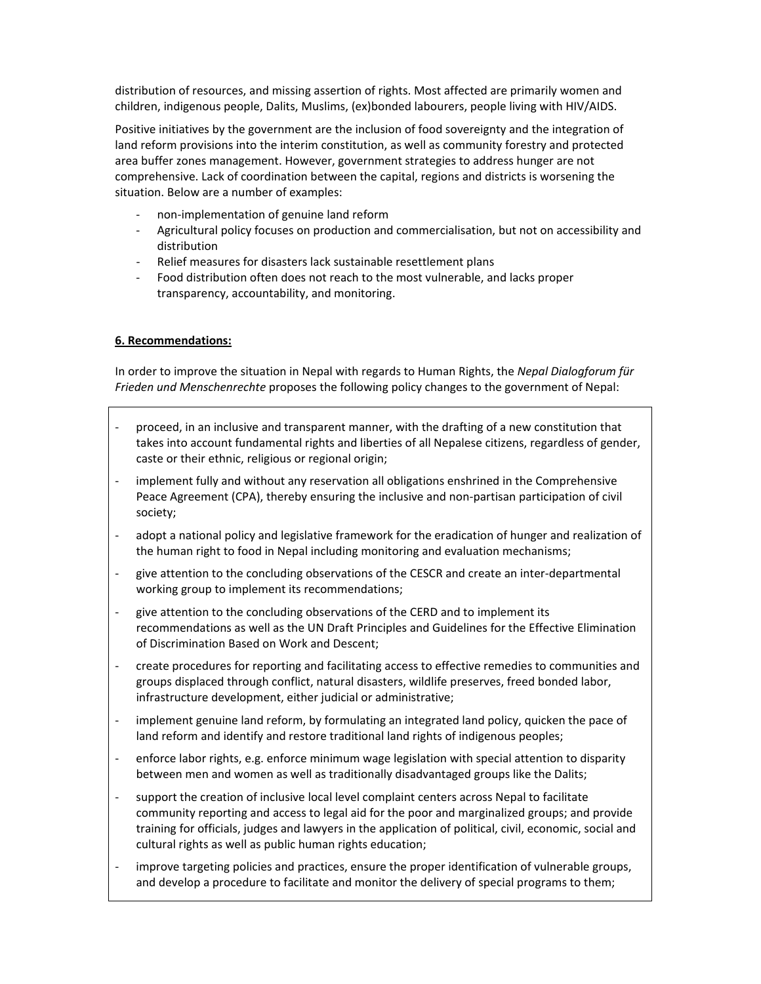distribution of resources, and missing assertion of rights. Most affected are primarily women and children, indigenous people, Dalits, Muslims, (ex)bonded labourers, people living with HIV/AIDS.

Positive initiatives by the government are the inclusion of food sovereignty and the integration of land reform provisions into the interim constitution, as well as community forestry and protected area buffer zones management. However, government strategies to address hunger are not comprehensive. Lack of coordination between the capital, regions and districts is worsening the situation. Below are a number of examples:

- ‐ non‐implementation of genuine land reform
- ‐ Agricultural policy focuses on production and commercialisation, but not on accessibility and distribution
- ‐ Relief measures for disasters lack sustainable resettlement plans
- ‐ Food distribution often does not reach to the most vulnerable, and lacks proper transparency, accountability, and monitoring.

# **6. Recommendations:**

In order to improve the situation in Nepal with regards to Human Rights, the *Nepal Dialogforum für Frieden und Menschenrechte* proposes the following policy changes to the government of Nepal:

- ‐ proceed, in an inclusive and transparent manner, with the drafting of a new constitution that takes into account fundamental rights and liberties of all Nepalese citizens, regardless of gender, caste or their ethnic, religious or regional origin;
- implement fully and without any reservation all obligations enshrined in the Comprehensive Peace Agreement (CPA), thereby ensuring the inclusive and non-partisan participation of civil society;
- adopt a national policy and legislative framework for the eradication of hunger and realization of the human right to food in Nepal including monitoring and evaluation mechanisms;
- ‐ give attention to the concluding observations of the CESCR and create an inter‐departmental working group to implement its recommendations;
- ‐ give attention to the concluding observations of the CERD and to implement its recommendations as well as the UN Draft Principles and Guidelines for the Effective Elimination of Discrimination Based on Work and Descent;
- ‐ create procedures for reporting and facilitating access to effective remedies to communities and groups displaced through conflict, natural disasters, wildlife preserves, freed bonded labor, infrastructure development, either judicial or administrative;
- ‐ implement genuine land reform, by formulating an integrated land policy, quicken the pace of land reform and identify and restore traditional land rights of indigenous peoples;
- enforce labor rights, e.g. enforce minimum wage legislation with special attention to disparity between men and women as well as traditionally disadvantaged groups like the Dalits;
- support the creation of inclusive local level complaint centers across Nepal to facilitate community reporting and access to legal aid for the poor and marginalized groups; and provide training for officials, judges and lawyers in the application of political, civil, economic, social and cultural rights as well as public human rights education;
- ‐ improve targeting policies and practices, ensure the proper identification of vulnerable groups, and develop a procedure to facilitate and monitor the delivery of special programs to them;